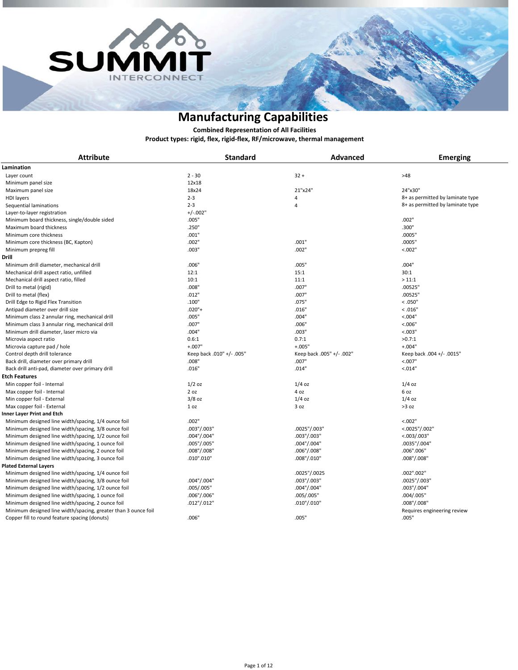



**Product types: rigid, flex, rigid-flex, RF/microwave, thermal management Combined Representation of All Facilities**

| <b>Attribute</b>                                               | <b>Standard</b>           | Advanced                  | <b>Emerging</b>                  |
|----------------------------------------------------------------|---------------------------|---------------------------|----------------------------------|
| Lamination                                                     |                           |                           |                                  |
| Layer count                                                    | $2 - 30$                  | $32 +$                    | >48                              |
| Minimum panel size                                             | 12x18                     |                           |                                  |
| Maximum panel size                                             | 18x24                     | 21"x24"                   | 24"x30"                          |
| <b>HDI</b> layers                                              | $2 - 3$                   | 4                         | 8+ as permitted by laminate type |
| Sequential laminations                                         | $2 - 3$                   | $\overline{4}$            | 8+ as permitted by laminate type |
| Layer-to-layer registration                                    | $+/-.002"$                |                           |                                  |
| Minimum board thickness, single/double sided                   | .005"                     |                           | .002"                            |
| Maximum board thickness                                        | .250"                     |                           | .300"                            |
| Minimum core thickness                                         | .001"                     |                           | :0005"                           |
| Minimum core thickness (BC, Kapton)                            | .002"                     | .001"                     | .0005"                           |
| Minimum prepreg fill                                           | .003"                     | .002"                     | < 0.002"                         |
|                                                                |                           |                           |                                  |
| Drill                                                          |                           |                           |                                  |
| Minimum drill diameter, mechanical drill                       | .006"                     | .005"                     | .004"                            |
| Mechanical drill aspect ratio, unfilled                        | 12:1                      | 15:1                      | 30:1                             |
| Mechanical drill aspect ratio, filled                          | 10:1                      | 11:1                      | >11:1                            |
| Drill to metal (rigid)                                         | .008"                     | .007"                     | .00525"                          |
| Drill to metal (flex)                                          | .012"                     | .007"                     | .00525"                          |
| Drill Edge to Rigid Flex Transition                            | .100"                     | .075"                     | < 0.050"                         |
| Antipad diameter over drill size                               | $.020"$ +                 | .016"                     | < 0.016"                         |
| Minimum class 2 annular ring, mechanical drill                 | .005"                     | .004"                     | < 0.004"                         |
| Minimum class 3 annular ring, mechanical drill                 | .007"                     | .006"                     | < 0.006"                         |
| Minimum drill diameter, laser micro via                        | .004"                     | .003"                     | < 0.003"                         |
| Microvia aspect ratio                                          | 0.6:1                     | 0.7:1                     | >0.7:1                           |
| Microvia capture pad / hole                                    | $+.007"$                  | $+.005"$                  | $+.004"$                         |
| Control depth drill tolerance                                  | Keep back .010" +/- .005" | Keep back .005" +/- .002" | Keep back .004 +/- .0015"        |
| Back drill, diameter over primary drill                        | .008"                     | .007"                     | < 0.007"                         |
| Back drill anti-pad, diameter over primary drill               | .016"                     | .014"                     | < 0.014"                         |
| Etch Features                                                  |                           |                           |                                  |
| Min copper foil - Internal                                     | $1/2$ oz                  | $1/4$ oz                  | $1/4$ oz                         |
| Max copper foil - Internal                                     | 2 oz                      | 4 oz                      | 6 oz                             |
| Min copper foil - External                                     | $3/8$ oz                  | $1/4$ oz                  | $1/4$ oz                         |
| Max copper foil - External                                     | 1 <sub>oz</sub>           | 3 oz                      | >3 oz                            |
| Inner Layer Print and Etch                                     |                           |                           |                                  |
| Minimum designed line width/spacing, 1/4 ounce foil            | .002"                     |                           | < 0.002"                         |
| Minimum designed line width/spacing, 3/8 ounce foil            | .003"/.003"               | .0025"/.003"              | $<.0025$ "/.002"                 |
| Minimum designed line width/spacing, 1/2 ounce foil            | .004"/.004"               | .003"/.003"               | <.003/.003"                      |
| Minimum designed line width/spacing, 1 ounce foil              | .005"/.005"               | .004"/.004"               | .0035"/.004"                     |
| Minimum designed line width/spacing, 2 ounce foil              | .008"/.008"               | .006"/.008"               | .006".006"                       |
| Minimum designed line width/spacing, 3 ounce foil              | .010".010"                | .008"/.010"               | .008"/.008"                      |
| <b>Plated External Layers</b>                                  |                           |                           |                                  |
| Minimum designed line width/spacing, 1/4 ounce foil            |                           | .0025"/.0025              | .002".002"                       |
| Minimum designed line width/spacing, 3/8 ounce foil            | .004"/.004"               | .003"/.003"               | .0025"/.003"                     |
| Minimum designed line width/spacing, 1/2 ounce foil            | .005/.005"                | .004"/.004"               | .003"/.004"                      |
| Minimum designed line width/spacing, 1 ounce foil              | .006"/.006"               | .005/.005"                | .004/.005"                       |
| Minimum designed line width/spacing, 2 ounce foil              | .012"/.012"               | .010"/.010"               | .008"/.008"                      |
| Minimum designed line width/spacing, greater than 3 ounce foil |                           |                           | Requires engineering review      |
| Copper fill to round feature spacing (donuts)                  | .006"                     | .005"                     | .005"                            |
|                                                                |                           |                           |                                  |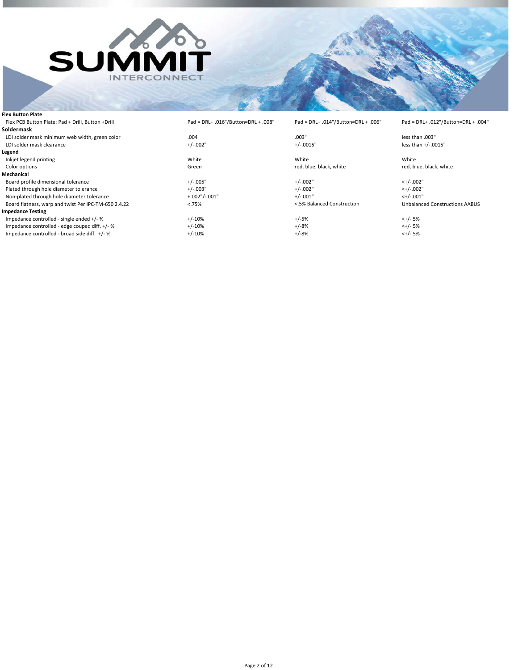

 $F = Pad = DRL + .012" / Button = DRL + .004"$ 

less than  $+/-0015"$ 

red, blue, black, white

 $Unbalanced$  Constructions AABUS

| <b>Flex Button Plate</b>                             |                                     |                                     |                   |
|------------------------------------------------------|-------------------------------------|-------------------------------------|-------------------|
| Flex PCB Button Plate: Pad + Drill, Button + Drill   | Pad = DRL+ .016"/Button=DRL + .008" | Pad = DRL+ .014"/Button=DRL + .006" | $Pad = DRL + .01$ |
| Soldermask                                           |                                     |                                     |                   |
| LDI solder mask minimum web width, green color       | .004"                               | .003"                               | less than .003"   |
| LDI solder mask clearance                            | $+/-.002"$                          | $+/-.0015"$                         | less than $+/-.0$ |
| Legend                                               |                                     |                                     |                   |
| Inkjet legend printing                               | White                               | White                               | White             |
| Color options                                        | Green                               | red, blue, black, white             | red, blue, blacl  |
| Mechanical                                           |                                     |                                     |                   |
| Board profile dimensional tolerance                  | $+/-.005"$                          | $+/-.002"$                          | $<+/-.002"$       |
| Plated through hole diameter tolerance               | $+/-.003"$                          | $+/-.002"$                          | $<+/-.002"$       |
| Non-plated through hole diameter tolerance           | $+.002$ "/ $-.001$ "                | $+/-.001"$                          | $<+/-.001"$       |
| Board flatness, warp and twist Per IPC-TM-650 2.4.22 | < .75%                              | <.5% Balanced Construction          | Unbalanced Co     |
| <b>Impedance Testing</b>                             |                                     |                                     |                   |
| Impedance controlled - single ended +/- %            | $+/-10%$                            | $+/-5%$                             | $<+/- 5%$         |
| Impedance controlled - edge couped diff. +/- %       | $+/-10%$                            | $+/-8%$                             | $<+/- 5%$         |
| Impedance controlled - broad side diff. +/- %        | $+/-10%$                            | $+/-8%$                             | $<+/- 5%$         |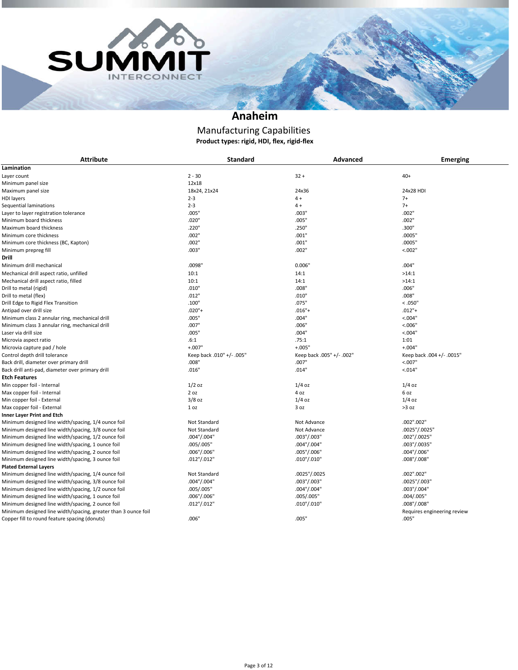



### **Anaheim**

#### **Product types: rigid, HDI, flex, rigid-flex** Manufacturing Capabilities

| <b>Attribute</b>                                               | <b>Standard</b>           | <b>Advanced</b>           | <b>Emerging</b>             |
|----------------------------------------------------------------|---------------------------|---------------------------|-----------------------------|
| Lamination                                                     |                           |                           |                             |
| Layer count                                                    | $2 - 30$                  | $32 +$                    | $40+$                       |
| Minimum panel size                                             | 12x18                     |                           |                             |
| Maximum panel size                                             | 18x24, 21x24              | 24x36                     | 24x28 HDI                   |
| <b>HDI</b> layers                                              | $2 - 3$                   | $4 +$                     | $7+$                        |
| Sequential laminations                                         | $2 - 3$                   | $4 +$                     | $7+$                        |
| Layer to layer registration tolerance                          | .005"                     | .003"                     | .002"                       |
| Minimum board thickness                                        | .020"                     | .005"                     | .002"                       |
| Maximum board thickness                                        | .220"                     | .250"                     | .300"                       |
| Minimum core thickness                                         | .002"                     | .001"                     | .0005"                      |
| Minimum core thickness (BC, Kapton)                            | .002"                     | .001"                     | .0005"                      |
| Minimum prepreg fill                                           | .003"                     | .002"                     | < .002"                     |
| Drill                                                          |                           |                           |                             |
| Minimum drill mechanical                                       | .0098"                    | 0.006'                    | .004"                       |
| Mechanical drill aspect ratio, unfilled                        | 10:1                      | 14:1                      | >14:1                       |
| Mechanical drill aspect ratio, filled                          | 10:1                      | 14:1                      | >14:1                       |
| Drill to metal (rigid)                                         | .010"                     | .008"                     | .006"                       |
| Drill to metal (flex)                                          | .012"                     | .010"                     | .008"                       |
| Drill Edge to Rigid Flex Transition                            | .100"                     | .075"                     | < 0.050"                    |
| Antipad over drill size                                        | $.020"$ +                 | $.016"+$                  | $.012"$ +                   |
|                                                                | .005"                     | .004"                     | < 0.004"                    |
| Minimum class 2 annular ring, mechanical drill                 |                           |                           |                             |
| Minimum class 3 annular ring, mechanical drill                 | .007"                     | .006"                     | < 0.006"                    |
| Laser via drill size                                           | .005"                     | .004"                     | < 0.004"                    |
| Microvia aspect ratio                                          | .6:1                      | .75:1                     | 1:01                        |
| Microvia capture pad / hole                                    | $+.007"$                  | $+.005"$                  | $+.004"$                    |
| Control depth drill tolerance                                  | Keep back .010" +/- .005" | Keep back .005" +/- .002" | Keep back .004 +/- .0015"   |
| Back drill, diameter over primary drill                        | .008"                     | .007"                     | < 0.007"                    |
| Back drill anti-pad, diameter over primary drill               | .016"                     | .014"                     | < 0.014"                    |
| <b>Etch Features</b>                                           |                           |                           |                             |
| Min copper foil - Internal                                     | $1/2$ oz                  | $1/4$ oz                  | $1/4$ oz                    |
| Max copper foil - Internal                                     | 2 oz                      | 4 oz                      | 6 oz                        |
| Min copper foil - External                                     | $3/8$ oz                  | $1/4$ oz                  | $1/4$ oz                    |
| Max copper foil - External                                     | 1 <sub>oz</sub>           | 3 oz                      | >3 oz                       |
| <b>Inner Layer Print and Etch</b>                              |                           |                           |                             |
| Minimum designed line width/spacing, 1/4 ounce foil            | Not Standard              | Not Advance               | .002".002"                  |
| Minimum designed line width/spacing, 3/8 ounce foil            | Not Standard              | Not Advance               | .0025"/.0025"               |
| Minimum designed line width/spacing, 1/2 ounce foil            | .004"/.004"               | .003"/.003"               | .002"/.0025"                |
| Minimum designed line width/spacing, 1 ounce foil              | .005/.005"                | .004"/.004"               | .003"/.0035"                |
| Minimum designed line width/spacing, 2 ounce foil              | .006"/.006"               | .005"/.006"               | .004"/.006"                 |
| Minimum designed line width/spacing, 3 ounce foil              | $.012$ "/.012"            | $.010$ "/.010"            | .008"/.008"                 |
| <b>Plated External Layers</b>                                  |                           |                           |                             |
| Minimum designed line width/spacing, 1/4 ounce foil            | Not Standard              | .0025"/.0025              | .002".002"                  |
| Minimum designed line width/spacing, 3/8 ounce foil            | .004"/.004"               | .003"/.003"               | .0025"/.003"                |
| Minimum designed line width/spacing, 1/2 ounce foil            | .005/.005"                | .004"/.004"               | .003"/.004"                 |
| Minimum designed line width/spacing, 1 ounce foil              | .006"/.006"               | .005/.005"                | .004/.005"                  |
| Minimum designed line width/spacing, 2 ounce foil              | $.012$ "/.012"            | $.010$ "/.010"            | .008"/.008"                 |
| Minimum designed line width/spacing, greater than 3 ounce foil |                           |                           | Requires engineering review |
| Copper fill to round feature spacing (donuts)                  | .006"                     | .005"                     | .005"                       |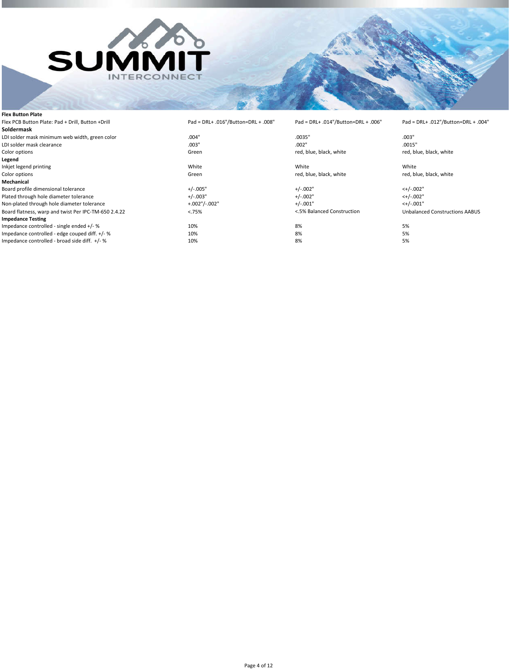

| <b>Flex Button Plate</b>                             |                                     |                                     |                                     |
|------------------------------------------------------|-------------------------------------|-------------------------------------|-------------------------------------|
| Flex PCB Button Plate: Pad + Drill, Button +Drill    | Pad = DRL+ .016"/Button=DRL + .008" | Pad = DRL+ .014"/Button=DRL + .006" | Pad = DRL+ .012"/Button=DRL + .004" |
| Soldermask                                           |                                     |                                     |                                     |
| LDI solder mask minimum web width, green color       | .004"                               | .0035"                              | .003"                               |
| LDI solder mask clearance                            | .003"                               | .002"                               | .0015"                              |
| Color options                                        | Green                               | red, blue, black, white             | red, blue, black, white             |
| Legend                                               |                                     |                                     |                                     |
| Inkjet legend printing                               | White                               | White                               | White                               |
| Color options                                        | Green                               | red, blue, black, white             | red, blue, black, white             |
| Mechanical                                           |                                     |                                     |                                     |
| Board profile dimensional tolerance                  | $+/-.005"$                          | $+/-.002"$                          | $<+/-.002"$                         |
| Plated through hole diameter tolerance               | $+/-.003"$                          | $+/-.002"$                          | $<+/-.002"$                         |
| Non-plated through hole diameter tolerance           | $+.002$ "/ $-.002$ "                | $+/-.001"$                          | $<+/-.001"$                         |
| Board flatness, warp and twist Per IPC-TM-650 2.4.22 | < .75%                              | <.5% Balanced Construction          | Unbalanced Constructions AABUS      |
| <b>Impedance Testing</b>                             |                                     |                                     |                                     |
| Impedance controlled - single ended +/- %            | 10%                                 | 8%                                  | 5%                                  |
| Impedance controlled - edge couped diff. +/- %       | 10%                                 | 8%                                  | 5%                                  |
| Impedance controlled - broad side diff. +/- %        | 10%                                 | 8%                                  | 5%                                  |
|                                                      |                                     |                                     |                                     |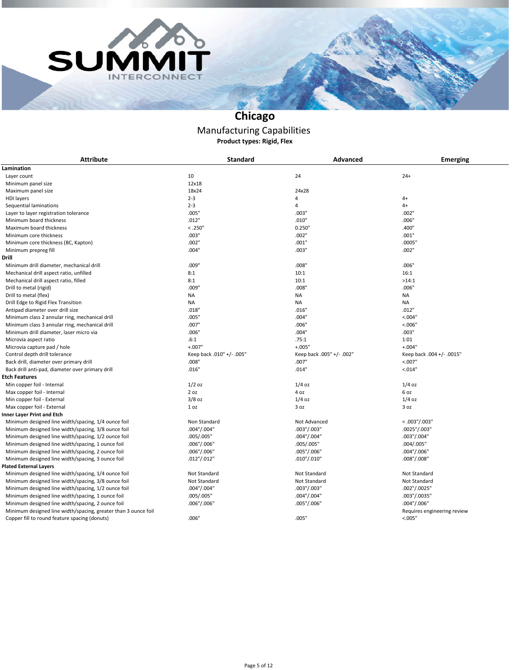



# **Chicago**

#### Manufacturing Capabilities **Product types: Rigid, Flex**

| <b>Attribute</b>                                               | <b>Standard</b>           | Advanced                  | <b>Emerging</b>             |
|----------------------------------------------------------------|---------------------------|---------------------------|-----------------------------|
| Lamination                                                     |                           |                           |                             |
| Layer count                                                    | 10                        | 24                        | $24+$                       |
| Minimum panel size                                             | 12x18                     |                           |                             |
| Maximum panel size                                             | 18x24                     | 24x28                     |                             |
| <b>HDI</b> layers                                              | $2 - 3$                   | 4                         | $4+$                        |
| Sequential laminations                                         | $2 - 3$                   | 4                         | $4+$                        |
| Layer to layer registration tolerance                          | .005"                     | .003"                     | .002"                       |
| Minimum board thickness                                        | .012"                     | .010"                     | .006"                       |
| Maximum board thickness                                        | < .250"                   | 0.250"                    | .400"                       |
| Minimum core thickness                                         | .003"                     | .002"                     | .001"                       |
| Minimum core thickness (BC, Kapton)                            | .002"                     | .001"                     | .0005"                      |
| Minimum prepreg fill                                           | .004"                     | .003"                     | .002"                       |
| Drill                                                          |                           |                           |                             |
|                                                                |                           |                           |                             |
| Minimum drill diameter, mechanical drill                       | .009"                     | .008"                     | .006"                       |
| Mechanical drill aspect ratio, unfilled                        | 8:1                       | 10:1                      | 16:1                        |
| Mechanical drill aspect ratio, filled                          | 8:1                       | 10:1                      | >14:1                       |
| Drill to metal (rigid)                                         | .009"                     | .008"                     | .006"                       |
| Drill to metal (flex)                                          | <b>NA</b>                 | <b>NA</b>                 | <b>NA</b>                   |
| Drill Edge to Rigid Flex Transition                            | <b>NA</b>                 | NA                        | <b>NA</b>                   |
| Antipad diameter over drill size                               | .018"                     | .016"                     | .012"                       |
| Minimum class 2 annular ring, mechanical drill                 | .005"                     | .004"                     | < 0.04"                     |
| Minimum class 3 annular ring, mechanical drill                 | .007"                     | .006"                     | < 0.006"                    |
| Minimum drill diameter, laser micro via                        | .006"                     | .004"                     | .003"                       |
| Microvia aspect ratio                                          | .6:1                      | .75:1                     | 1:01                        |
| Microvia capture pad / hole                                    | $+.007"$                  | $+.005"$                  | $+.004"$                    |
| Control depth drill tolerance                                  | Keep back .010" +/- .005" | Keep back .005" +/- .002" | Keep back .004 +/- .0015"   |
| Back drill, diameter over primary drill                        | .008"                     | .007"                     | < 0.007"                    |
| Back drill anti-pad, diameter over primary drill               | .016"                     | .014"                     | < 0.014"                    |
| Etch Features                                                  |                           |                           |                             |
| Min copper foil - Internal                                     | $1/2$ oz                  | $1/4$ oz                  | $1/4$ oz                    |
| Max copper foil - Internal                                     | 2 oz                      | 4 oz                      | 6 oz                        |
| Min copper foil - External                                     | $3/8$ oz                  | $1/4$ oz                  | $1/4$ oz                    |
| Max copper foil - External                                     | 1 oz                      | 3 oz                      | 3 oz                        |
| <b>Inner Layer Print and Etch</b>                              |                           |                           |                             |
| Minimum designed line width/spacing, 1/4 ounce foil            | Non Standard              | Not Advanced              | $<.003$ "/.003"             |
| Minimum designed line width/spacing, 3/8 ounce foil            | .004"/.004"               | .003"/.003"               | .0025"/.003"                |
| Minimum designed line width/spacing, 1/2 ounce foil            | .005/.005"                | .004"/.004"               | .003"/.004"                 |
| Minimum designed line width/spacing, 1 ounce foil              | .006"/.006"               | .005/.005"                | .004/.005"                  |
| Minimum designed line width/spacing, 2 ounce foil              | .006''/.006''             | .005"/.006"               | .004''/.006''               |
| Minimum designed line width/spacing, 3 ounce foil              | $.012$ "/.012"            | .010"/.010"               | $.008$ "/.008"              |
| <b>Plated External Layers</b>                                  |                           |                           |                             |
| Minimum designed line width/spacing, 1/4 ounce foil            | Not Standard              | Not Standard              | Not Standard                |
| Minimum designed line width/spacing, 3/8 ounce foil            | Not Standard              | Not Standard              | Not Standard                |
| Minimum designed line width/spacing, 1/2 ounce foil            | .004"/.004"               | .003"/.003"               | .002"/.0025"                |
| Minimum designed line width/spacing, 1 ounce foil              | .005/.005"                | .004"/.004"               | .003"/.0035"                |
| Minimum designed line width/spacing, 2 ounce foil              | $.006$ "/.006"            | .005"/.006"               | .004''/.006''               |
| Minimum designed line width/spacing, greater than 3 ounce foil |                           |                           | Requires engineering review |
| Copper fill to round feature spacing (donuts)                  | .006"                     | .005"                     | < .005"                     |
|                                                                |                           |                           |                             |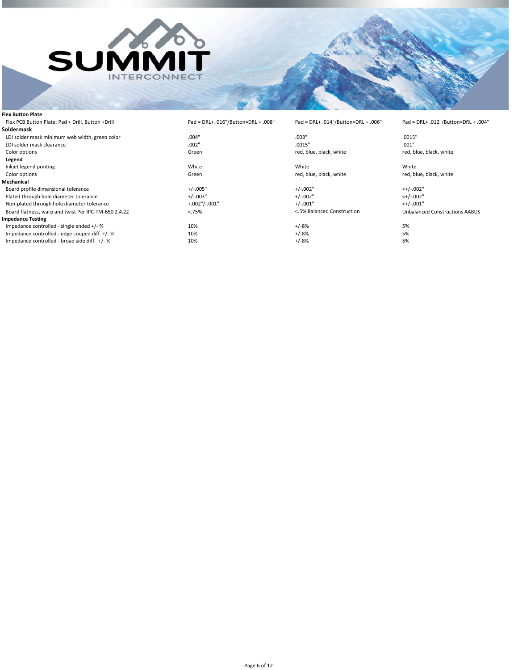

**Flex Button Plate**

**Soldermask**

**Legend**

**Mechanical** 

**Impedance Testing**

Non-plated through hole diameter tolerance

Impedance controlled - broad side diff.  $+/-$ %

#### Flex PCB Button Plate: Pad + Drill, Button +Drill Pad = DRL+ .016"/Button=DRL + .008" Pad = DRL+ .014"/Button=DRL + .006" Pad = DRL+ .012"/Button=DRL + .004"

LDI solder mask minimum web width, green color .004" .003" .0015" LDI solder mask clearance .002" .0015" .001" red, blue, black, white

Inkjet legend printing and the method of the Minite Minite of the Minite White Minite (Inch and Minite Minite M<br>1991 Color options and the Color options of the Minite of the Minite of the Minite of the Minite of the Minite

Board profile dimensional tolerance  $+/-.002$ "  $+/-.002$ "  $-/-.002$ "  $-/-.002$ "  $-/-.002$ "  $-/-.002$ "  $-/-.002$ "  $-/-.002$ "  $-/-.002$ "  $-/-.002$ "  $-/-.002$ "  $-/-.002$ "  $-/-.002$ "  $-/-.002$ "  $-/-.002$ "  $-/-.002$ "  $-/-.002$ "  $-/-.002$ "  $-/-.00$ Plated through hole diameter tolerance  $+/-.002$ "  $+/-.002$ "  $+/-.002$ "  $+/-.002$ "  $-/-.001$ "  $-/-.001$ "  $-/-.001$ "  $-/-.001$ "  $-/-.001$ "  $-/-.002$ "  $-/-.002$ "  $-/-.002$ "  $-/-.003$ "  $-/-.003$ "  $-/-.003$ "  $-/-.001$ "  $-/-.003$ "  $-/-.001$ "  $-/-$ 

Impedance controlled - single ended +/- % 10% 10% +/-8% +/-8% 5% 5% Impedance controlled - edge couped diff. +/- % 10% +/-8% 5%

red, blue, black, white

Board flatness, warp and twist Per IPC-TM-650 2.4.22 < 75% < 75% < TS% Balanced Construction Unbalanced Constructions AABUS

#### Page 6 of 12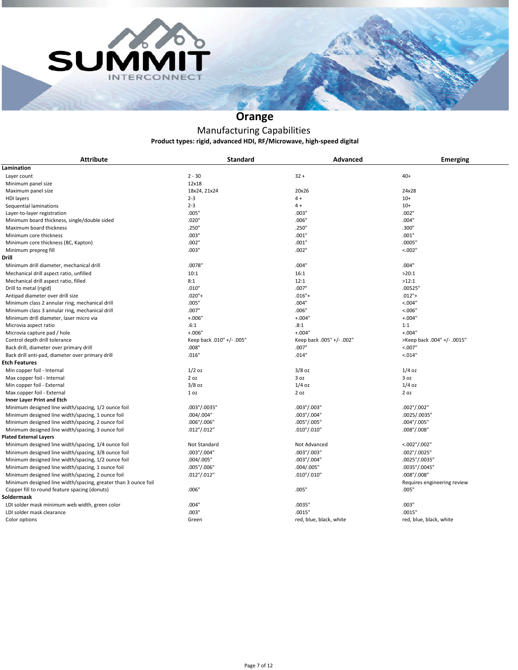



# **Orange**

### **Product types: rigid, advanced HDI, RF/Microwave, high-speed digital** Manufacturing Capabilities

| <b>Attribute</b>                                               | <b>Standard</b>           | <b>Advanced</b>           | <b>Emerging</b>             |
|----------------------------------------------------------------|---------------------------|---------------------------|-----------------------------|
| Lamination                                                     |                           |                           |                             |
| Layer count                                                    | $2 - 30$                  | $32 +$                    | $40+$                       |
| Minimum panel size                                             | 12x18                     |                           |                             |
| Maximum panel size                                             | 18x24, 21x24              | 20x26                     | 24x28                       |
| <b>HDI</b> layers                                              | $2 - 3$                   | $4 +$                     | $10+$                       |
| Sequential laminations                                         | $2 - 3$                   | $4+$                      | $10+$                       |
| Layer-to-layer registration                                    | .005"                     | .003"                     | .002"                       |
| Minimum board thickness, single/double sided                   | .020"                     | .006"                     | .004"                       |
| Maximum board thickness                                        | .250"                     | .250"                     | .300"                       |
| Minimum core thickness                                         | .003"                     | .001"                     | .001"                       |
| Minimum core thickness (BC, Kapton)                            | .002"                     | .001"                     | .0005"                      |
| Minimum prepreg fill                                           | .003"                     | .002"                     | < .002"                     |
| Drill                                                          |                           |                           |                             |
| Minimum drill diameter, mechanical drill                       | .0078"                    | .004"                     | .004"                       |
| Mechanical drill aspect ratio, unfilled                        | 10:1                      | 16:1                      | >20:1                       |
| Mechanical drill aspect ratio, filled                          | 8:1                       | 12:1                      | >12:1                       |
| Drill to metal (rigid)                                         | .010"                     | .007"                     | .00525"                     |
| Antipad diameter over drill size                               | $.020"$ +                 | $.016" +$                 | $.012"+$                    |
| Minimum class 2 annular ring, mechanical drill                 | .005"                     | .004"                     | < 0.004"                    |
| Minimum class 3 annular ring, mechanical drill                 | .007"                     | .006"                     | < 0.006"                    |
| Minimum drill diameter, laser micro via                        | $+.006"$                  | $+.004"$                  | $+.004"$                    |
| Microvia aspect ratio                                          | .6:1                      | .8:1                      | 1:1                         |
| Microvia capture pad / hole                                    | $+.006"$                  | $+.004"$                  | $+.004"$                    |
| Control depth drill tolerance                                  | Keep back .010" +/- .005" | Keep back .005" +/- .002" | >Keep back .004" +/- .0015" |
| Back drill, diameter over primary drill                        | .008"                     | .007"                     | < 0.007"                    |
| Back drill anti-pad, diameter over primary drill               | .016"                     | .014"                     | < 0.014"                    |
| <b>Etch Features</b>                                           |                           |                           |                             |
| Min copper foil - Internal                                     | $1/2$ oz                  | $3/8$ oz                  | $1/4$ oz                    |
| Max copper foil - Internal                                     | 2 oz                      | 3 oz                      | 3 oz                        |
| Min copper foil - External                                     | $3/8$ oz                  | $1/4$ oz                  | $1/4$ oz                    |
| Max copper foil - External                                     | 1 <sub>oz</sub>           | 2 oz                      | 2 oz                        |
| <b>Inner Layer Print and Etch</b>                              |                           |                           |                             |
| Minimum designed line width/spacing, 1/2 ounce foil            | .003"/.0035"              | .003"/.003"               | .002"/.002"                 |
| Minimum designed line width/spacing, 1 ounce foil              | .004/.004"                | .003"/.004"               | .0025/.0035"                |
| Minimum designed line width/spacing, 2 ounce foil              | .006"/.006"               | .005"/.005"               | .004"/.005"                 |
| Minimum designed line width/spacing, 3 ounce foil              | $.012$ " $/ .012$ "       | .010"/.010"               | .008"/.008"                 |
| <b>Plated External Layers</b>                                  |                           |                           |                             |
| Minimum designed line width/spacing, 1/4 ounce foil            | Not Standard              | Not Advanced              | $<.002$ "/.002"             |
| Minimum designed line width/spacing, 3/8 ounce foil            | .003"/.004"               | .003"/.003"               | .002"/.0025"                |
| Minimum designed line width/spacing, 1/2 ounce foil            | .004/.005"                | .003"/.004"               | .0025"/.0035"               |
| Minimum designed line width/spacing, 1 ounce foil              | .005"/.006"               | .004/.005"                | .0035"/.0045"               |
| Minimum designed line width/spacing, 2 ounce foil              | $.012$ "/.012"            | $.010$ "/.010"            | .008''/.008''               |
| Minimum designed line width/spacing, greater than 3 ounce foil |                           |                           | Requires engineering review |
| Copper fill to round feature spacing (donuts)                  | .006"                     | .005"                     | .005"                       |
| Soldermask                                                     |                           |                           |                             |
| LDI solder mask minimum web width, green color                 | .004"                     | .0035"                    | .003"                       |
| LDI solder mask clearance                                      | .003"                     | .0015"                    | .0015"                      |
| Color options                                                  | Green                     | red, blue, black, white   | red, blue, black, white     |
|                                                                |                           |                           |                             |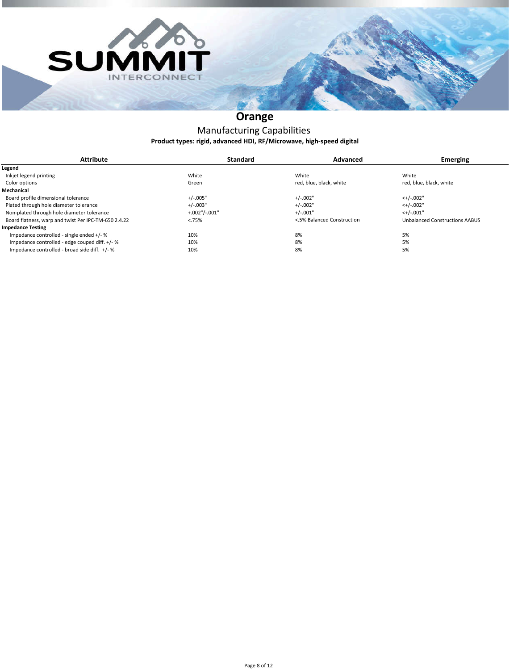



# **Orange**

#### **Product types: rigid, advanced HDI, RF/Microwave, high-speed digital** Manufacturing Capabilities

| <b>Attribute</b>                                     | <b>Standard</b>      | <b>Advanced</b>            | <b>Emerging</b>                       |
|------------------------------------------------------|----------------------|----------------------------|---------------------------------------|
| Legend                                               |                      |                            |                                       |
| Inkjet legend printing                               | White                | White                      | White                                 |
| Color options                                        | Green                | red, blue, black, white    | red, blue, black, white               |
| Mechanical                                           |                      |                            |                                       |
| Board profile dimensional tolerance                  | $+/-.005"$           | $+/-.002"$                 | $<+/-.002"$                           |
| Plated through hole diameter tolerance               | $+/-.003"$           | $+/-.002"$                 | $<+/-.002"$                           |
| Non-plated through hole diameter tolerance           | $+.002$ "/ $-.001$ " | $+/-.001"$                 | $<+/-.001"$                           |
| Board flatness, warp and twist Per IPC-TM-650 2.4.22 | < .75%               | <.5% Balanced Construction | <b>Unbalanced Constructions AABUS</b> |
| <b>Impedance Testing</b>                             |                      |                            |                                       |
| Impedance controlled - single ended +/- %            | 10%                  | 8%                         | 5%                                    |
| Impedance controlled - edge couped diff. +/- %       | 10%                  | 8%                         | 5%                                    |
| Impedance controlled - broad side diff. +/-%         | 10%                  | 8%                         | 5%                                    |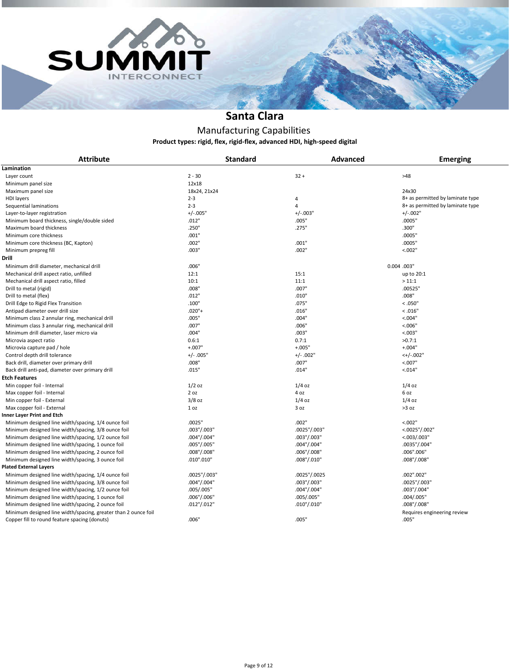



### **Santa Clara**

# Manufacturing Capabilities

**Product types: rigid, flex, rigid-flex, advanced HDI, high-speed digital**

| <b>Attribute</b>                                                                                                | <b>Standard</b>     | <b>Advanced</b> | <b>Emerging</b>                      |
|-----------------------------------------------------------------------------------------------------------------|---------------------|-----------------|--------------------------------------|
| Lamination                                                                                                      |                     |                 |                                      |
| Layer count                                                                                                     | $2 - 30$            | $32 +$          | >48                                  |
| Minimum panel size                                                                                              | 12x18               |                 |                                      |
| Maximum panel size                                                                                              | 18x24, 21x24        |                 | 24x30                                |
| <b>HDI</b> layers                                                                                               | $2 - 3$             | 4               | 8+ as permitted by laminate type     |
| Sequential laminations                                                                                          | $2 - 3$             | $\overline{4}$  | 8+ as permitted by laminate type     |
| Layer-to-layer registration                                                                                     | $+/-.005"$          | $+/-.003"$      | $+/-.002"$                           |
| Minimum board thickness, single/double sided                                                                    | .012"               | .005"           | .0005"                               |
| Maximum board thickness                                                                                         | .250"               | .275"           | .300"                                |
| Minimum core thickness                                                                                          | .001"               |                 | .0005"                               |
| Minimum core thickness (BC, Kapton)                                                                             | .002"               | .001"           | .0005"                               |
| Minimum prepreg fill                                                                                            | .003"               | .002"           | < .002"                              |
| Drill                                                                                                           |                     |                 |                                      |
| Minimum drill diameter, mechanical drill                                                                        | .006"               |                 | 0.004 .003"                          |
| Mechanical drill aspect ratio, unfilled                                                                         | 12:1                | 15:1            | up to 20:1                           |
| Mechanical drill aspect ratio, filled                                                                           | 10:1                | 11:1            | >11:1                                |
| Drill to metal (rigid)                                                                                          | .008"               | .007"           | .00525"                              |
| Drill to metal (flex)                                                                                           | .012"               | .010"           | .008"                                |
| Drill Edge to Rigid Flex Transition                                                                             | .100"               | .075"           | < 0.050"                             |
| Antipad diameter over drill size                                                                                | $.020"$ +           | .016"           | < 0.016"                             |
| Minimum class 2 annular ring, mechanical drill                                                                  | .005"               | .004"           | < 0.004"                             |
| Minimum class 3 annular ring, mechanical drill                                                                  | .007"               | .006"           | < 0.006"                             |
| Minimum drill diameter, laser micro via                                                                         | .004"               | .003"           | < 0.003"                             |
| Microvia aspect ratio                                                                                           | 0.6:1               | 0.7:1           | >0.7:1                               |
| Microvia capture pad / hole                                                                                     | $+.007"$            | $+.005"$        | $+.004"$                             |
| Control depth drill tolerance                                                                                   | $+/- .005"$         | $+/- .002"$     | $<+/-.002"$                          |
| Back drill, diameter over primary drill                                                                         | .008"               | .007"           | < 0.007"                             |
| Back drill anti-pad, diameter over primary drill                                                                | .015"               | .014"           | < 0.014"                             |
| Etch Features                                                                                                   |                     |                 |                                      |
| Min copper foil - Internal                                                                                      | $1/2$ oz            | $1/4$ oz        | $1/4$ oz                             |
| Max copper foil - Internal                                                                                      | 2 oz                | 4 oz            | 6 oz                                 |
| Min copper foil - External                                                                                      | $3/8$ oz            | $1/4$ oz        | $1/4$ oz                             |
| Max copper foil - External                                                                                      | 1 <sub>oz</sub>     | 3 oz            | >3 oz                                |
| Inner Layer Print and Etch                                                                                      |                     |                 |                                      |
| Minimum designed line width/spacing, 1/4 ounce foil                                                             | .0025"              | .002"           | < 0.02"                              |
| Minimum designed line width/spacing, 3/8 ounce foil                                                             | $.003$ " $/ .003$ " | .0025"/.003"    | $<.0025$ "/.002"                     |
| Minimum designed line width/spacing, 1/2 ounce foil                                                             | .004"/.004"         | .003"/.003"     | <.003/.003"                          |
| Minimum designed line width/spacing, 1 ounce foil                                                               | .005"/.005"         | .004"/.004"     | .0035"/.004"                         |
| Minimum designed line width/spacing, 2 ounce foil                                                               | $.008$ "/.008"      | .006"/.008"     | .006".006"                           |
| Minimum designed line width/spacing, 3 ounce foil                                                               | .010".010"          | .008"/.010"     | $.008$ "/.008"                       |
| <b>Plated External Layers</b>                                                                                   |                     |                 |                                      |
| Minimum designed line width/spacing, 1/4 ounce foil                                                             | .0025"/.003"        | .0025"/.0025    | .002".002"                           |
| Minimum designed line width/spacing, 3/8 ounce foil                                                             | .004"/.004"         | .003"/.003"     | .0025"/.003"                         |
| Minimum designed line width/spacing, 1/2 ounce foil                                                             | .005/.005"          | .004"/.004"     | .003"/.004"                          |
| Minimum designed line width/spacing, 1 ounce foil                                                               | .006''/.006''       | .005/.005"      | .004/.005"                           |
| Minimum designed line width/spacing, 2 ounce foil                                                               | $.012$ "/.012"      | .010"/.010"     | $.008$ "/.008"                       |
| Minimum designed line width/spacing, greater than 2 ounce foil<br>Copper fill to round feature spacing (donuts) | .006"               | .005"           | Requires engineering review<br>.005" |
|                                                                                                                 |                     |                 |                                      |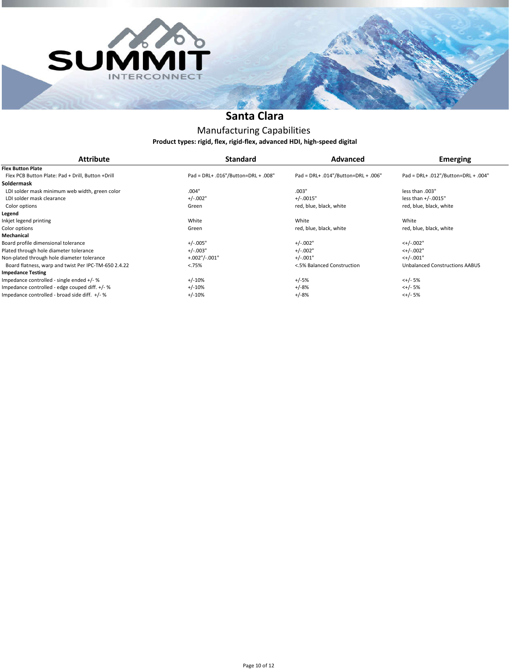



### **Santa Clara**

### Manufacturing Capabilities **Product types: rigid, flex, rigid-flex, advanced HDI, high-speed digital**

| <b>Attribute</b>                                     | <b>Standard</b>                     | Advanced                            | <b>Emerging</b>                       |
|------------------------------------------------------|-------------------------------------|-------------------------------------|---------------------------------------|
| <b>Flex Button Plate</b>                             |                                     |                                     |                                       |
| Flex PCB Button Plate: Pad + Drill, Button +Drill    | Pad = DRL+ .016"/Button=DRL + .008" | Pad = DRL+ .014"/Button=DRL + .006" | Pad = DRL+ .012"/Button=DRL + .004"   |
| Soldermask                                           |                                     |                                     |                                       |
|                                                      |                                     |                                     |                                       |
| LDI solder mask minimum web width, green color       | .004"                               | .003"                               | less than .003"                       |
| LDI solder mask clearance                            | $+/-.002"$                          | $+/-0015"$                          | less than +/-.0015"                   |
| Color options                                        | Green                               | red, blue, black, white             | red, blue, black, white               |
| Legend                                               |                                     |                                     |                                       |
| Inkjet legend printing                               | White                               | White                               | White                                 |
| Color options                                        | Green                               | red, blue, black, white             | red, blue, black, white               |
| Mechanical                                           |                                     |                                     |                                       |
| Board profile dimensional tolerance                  | $+/-.005"$                          | $+/-.002"$                          | $<+/-.002"$                           |
| Plated through hole diameter tolerance               | $+/-.003"$                          | $+/-.002"$                          | $<+/-.002"$                           |
| Non-plated through hole diameter tolerance           | $+.002$ "/ $-.001$ "                | $+/-.001"$                          | $<+/-.001"$                           |
| Board flatness, warp and twist Per IPC-TM-650 2.4.22 | < .75%                              | <.5% Balanced Construction          | <b>Unbalanced Constructions AABUS</b> |
| <b>Impedance Testing</b>                             |                                     |                                     |                                       |
| Impedance controlled - single ended +/- %            | $+/-10%$                            | $+/-5%$                             | $<+/- 5%$                             |
| Impedance controlled - edge couped diff. +/- %       | $+/-10%$                            | $+/-8%$                             | $<+/- 5%$                             |
| Impedance controlled - broad side diff. +/- %        | $+/-10%$                            | $+/-8%$                             | $<+/- 5%$                             |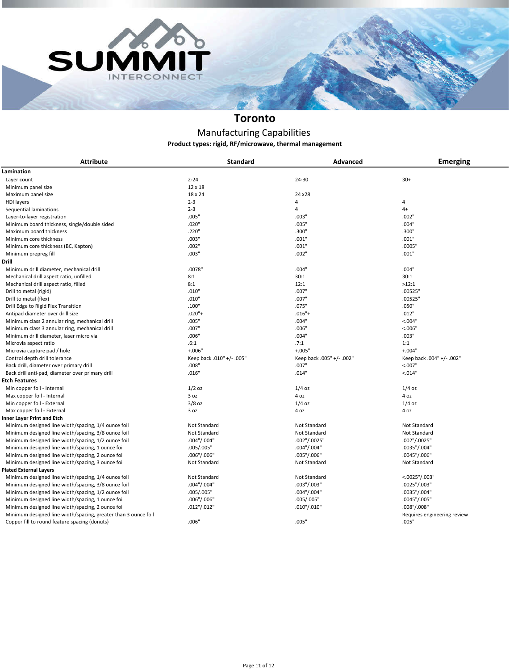



# **Toronto**

#### **Product types: rigid, RF/microwave, thermal management** Manufacturing Capabilities

| <b>Attribute</b>                                               | <b>Standard</b>           | Advanced                  | <b>Emerging</b>             |
|----------------------------------------------------------------|---------------------------|---------------------------|-----------------------------|
| Lamination                                                     |                           |                           |                             |
| Layer count                                                    | $2 - 24$                  | 24-30                     | $30+$                       |
| Minimum panel size                                             | $12 \times 18$            |                           |                             |
| Maximum panel size                                             | 18 x 24                   | 24 x 28                   |                             |
| <b>HDI</b> layers                                              | $2 - 3$                   | 4                         | 4                           |
| Sequential laminations                                         | $2 - 3$                   | 4                         | $4+$                        |
| Layer-to-layer registration                                    | .005"                     | .003"                     | .002"                       |
| Minimum board thickness, single/double sided                   | .020"                     | .005"                     | .004"                       |
| Maximum board thickness                                        | .220"                     | .300"                     | .300"                       |
| Minimum core thickness                                         | .003"                     | .001"                     | .001"                       |
| Minimum core thickness (BC, Kapton)                            | .002"                     | .001"                     | .0005"                      |
| Minimum prepreg fill                                           | .003"                     | .002"                     | .001"                       |
| Drill                                                          |                           |                           |                             |
| Minimum drill diameter, mechanical drill                       | .0078"                    | .004"                     | .004"                       |
| Mechanical drill aspect ratio, unfilled                        | 8:1                       | 30:1                      | 30:1                        |
| Mechanical drill aspect ratio, filled                          | 8:1                       | 12:1                      | >12:1                       |
|                                                                | .010"                     | .007"                     | .00525"                     |
| Drill to metal (rigid)                                         | .010"                     | .007"                     | .00525"                     |
| Drill to metal (flex)                                          |                           |                           |                             |
| Drill Edge to Rigid Flex Transition                            | .100"                     | .075"                     | .050"                       |
| Antipad diameter over drill size                               | $.020"$ +                 | $.016'' +$                | .012"                       |
| Minimum class 2 annular ring, mechanical drill                 | .005"                     | .004"                     | < 0.04"                     |
| Minimum class 3 annular ring, mechanical drill                 | .007"                     | .006"                     | < 0.006'                    |
| Minimum drill diameter, laser micro via                        | .006"                     | .004"                     | .003"                       |
| Microvia aspect ratio                                          | .6:1                      | .7:1                      | 1:1                         |
| Microvia capture pad / hole                                    | $+.006"$                  | $+.005"$                  | $+.004"$                    |
| Control depth drill tolerance                                  | Keep back .010" +/- .005" | Keep back .005" +/- .002" | Keep back .004" +/- .002"   |
| Back drill, diameter over primary drill                        | .008"                     | .007"                     | < 0.007"                    |
| Back drill anti-pad, diameter over primary drill               | .016"                     | .014"                     | < 0.014"                    |
| Etch Features                                                  |                           |                           |                             |
| Min copper foil - Internal                                     | $1/2$ oz                  | $1/4$ oz                  | $1/4$ oz                    |
| Max copper foil - Internal                                     | 3 <sub>oz</sub>           | 4 oz                      | 4 oz                        |
| Min copper foil - External                                     | $3/8$ oz                  | $1/4$ oz                  | $1/4$ oz                    |
| Max copper foil - External                                     | 3 oz                      | 4 oz                      | 4 oz                        |
| Inner Layer Print and Etch                                     |                           |                           |                             |
| Minimum designed line width/spacing, 1/4 ounce foil            | Not Standard              | Not Standard              | Not Standard                |
| Minimum designed line width/spacing, 3/8 ounce foil            | Not Standard              | Not Standard              | Not Standard                |
| Minimum designed line width/spacing, 1/2 ounce foil            | .004"/.004"               | .002"/.0025"              | .002"/.0025"                |
| Minimum designed line width/spacing, 1 ounce foil              | .005/.005"                | .004"/.004"               | .0035"/.004"                |
| Minimum designed line width/spacing, 2 ounce foil              | .006''/.006''             | .005"/.006"               | .0045"/.006"                |
| Minimum designed line width/spacing, 3 ounce foil              | Not Standard              | Not Standard              | Not Standard                |
| <b>Plated External Layers</b>                                  |                           |                           |                             |
| Minimum designed line width/spacing, 1/4 ounce foil            | Not Standard              | Not Standard              | $<.0025$ "/.003"            |
| Minimum designed line width/spacing, 3/8 ounce foil            | .004"/.004"               | .003''/.003''             | .0025"/.003"                |
| Minimum designed line width/spacing, 1/2 ounce foil            | .005/.005"                | .004"/.004"               | .0035"/.004"                |
| Minimum designed line width/spacing, 1 ounce foil              | .006''/.006''             | .005/.005"                | .0045"/.005"                |
| Minimum designed line width/spacing, 2 ounce foil              | $.012$ "/.012"            | $.010$ "/.010"            | .008"/.008"                 |
| Minimum designed line width/spacing, greater than 3 ounce foil |                           |                           | Requires engineering review |
| Copper fill to round feature spacing (donuts)                  | .006"                     | .005"                     | .005"                       |